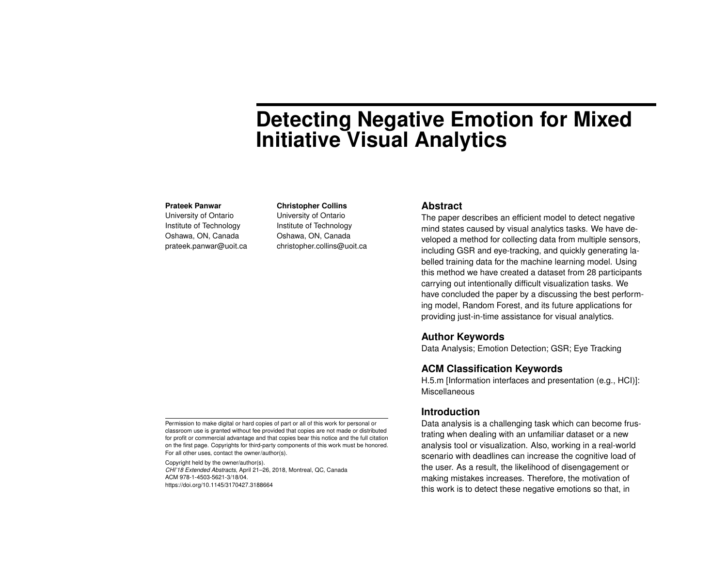# **Detecting Negative Emotion for Mixed Initiative Visual Analytics**

#### **Prateek Panwar**

University of Ontario Institute of Technology Oshawa, ON, Canada prateek.panwar@uoit.ca **Christopher Collins** University of Ontario Institute of Technology Oshawa, ON, Canada christopher.collins@uoit.ca

#### **Abstract**

The paper describes an efficient model to detect negative mind states caused by visual analytics tasks. We have developed a method for collecting data from multiple sensors, including GSR and eye-tracking, and quickly generating labelled training data for the machine learning model. Using this method we have created a dataset from 28 participants carrying out intentionally difficult visualization tasks. We have concluded the paper by a discussing the best performing model, Random Forest, and its future applications for providing just-in-time assistance for visual analytics.

#### **Author Keywords**

Data Analysis; Emotion Detection; GSR; Eye Tracking

## **ACM Classification Keywords**

H.5.m [Information interfaces and presentation (e.g., HCI)]: Miscellaneous

## **Introduction**

Data analysis is a challenging task which can become frustrating when dealing with an unfamiliar dataset or a new analysis tool or visualization. Also, working in a real-world scenario with deadlines can increase the cognitive load of the user. As a result, the likelihood of disengagement or making mistakes increases. Therefore, the motivation of this work is to detect these negative emotions so that, in

Permission to make digital or hard copies of part or all of this work for personal or classroom use is granted without fee provided that copies are not made or distributed for profit or commercial advantage and that copies bear this notice and the full citation on the first page. Copyrights for third-party components of this work must be honored. For all other uses, contact the owner/author(s).

Copyright held by the owner/author(s). *CHI'18 Extended Abstracts*, April 21–26, 2018, Montreal, QC, Canada ACM 978-1-4503-5621-3/18/04. https://doi.org/10.1145/3170427.3188664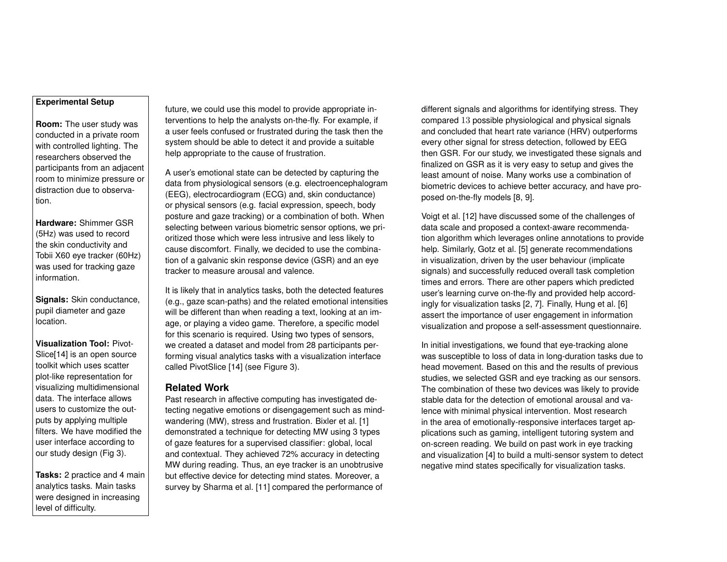#### **Experimental Setup**

**Room:** The user study was conducted in a private room with controlled lighting. The researchers observed the participants from an adjacent room to minimize pressure or distraction due to observation.

**Hardware:** Shimmer GSR (5Hz) was used to record the skin conductivity and Tobii X60 eye tracker (60Hz) was used for tracking gaze information.

**Signals:** Skin conductance, pupil diameter and gaze location.

**Visualization Tool:** Pivot-Slice[14] is an open source toolkit which uses scatter plot-like representation for visualizing multidimensional data. The interface allows users to customize the outputs by applying multiple filters. We have modified the user interface according to our study design (Fig 3).

**Tasks:** 2 practice and 4 main analytics tasks. Main tasks were designed in increasing level of difficulty.

future, we could use this model to provide appropriate interventions to help the analysts on-the-fly. For example, if a user feels confused or frustrated during the task then the system should be able to detect it and provide a suitable help appropriate to the cause of frustration.

A user's emotional state can be detected by capturing the data from physiological sensors (e.g. electroencephalogram (EEG), electrocardiogram (ECG) and, skin conductance) or physical sensors (e.g. facial expression, speech, body posture and gaze tracking) or a combination of both. When selecting between various biometric sensor options, we prioritized those which were less intrusive and less likely to cause discomfort. Finally, we decided to use the combination of a galvanic skin response device (GSR) and an eye tracker to measure arousal and valence.

It is likely that in analytics tasks, both the detected features (e.g., gaze scan-paths) and the related emotional intensities will be different than when reading a text, looking at an image, or playing a video game. Therefore, a specific model for this scenario is required. Using two types of sensors, we created a dataset and model from 28 participants performing visual analytics tasks with a visualization interface called PivotSlice [14] (see Figure 3).

## **Related Work**

Past research in affective computing has investigated detecting negative emotions or disengagement such as mindwandering (MW), stress and frustration. Bixler et al. [1] demonstrated a technique for detecting MW using 3 types of gaze features for a supervised classifier: global, local and contextual. They achieved 72% accuracy in detecting MW during reading. Thus, an eye tracker is an unobtrusive but effective device for detecting mind states. Moreover, a survey by Sharma et al. [11] compared the performance of

different signals and algorithms for identifying stress. They compared 13 possible physiological and physical signals and concluded that heart rate variance (HRV) outperforms every other signal for stress detection, followed by EEG then GSR. For our study, we investigated these signals and finalized on GSR as it is very easy to setup and gives the least amount of noise. Many works use a combination of biometric devices to achieve better accuracy, and have proposed on-the-fly models [8, 9].

Voigt et al. [12] have discussed some of the challenges of data scale and proposed a context-aware recommendation algorithm which leverages online annotations to provide help. Similarly, Gotz et al. [5] generate recommendations in visualization, driven by the user behaviour (implicate signals) and successfully reduced overall task completion times and errors. There are other papers which predicted user's learning curve on-the-fly and provided help accordingly for visualization tasks [2, 7]. Finally, Hung et al. [6] assert the importance of user engagement in information visualization and propose a self-assessment questionnaire.

In initial investigations, we found that eye-tracking alone was susceptible to loss of data in long-duration tasks due to head movement. Based on this and the results of previous studies, we selected GSR and eye tracking as our sensors. The combination of these two devices was likely to provide stable data for the detection of emotional arousal and valence with minimal physical intervention. Most research in the area of emotionally-responsive interfaces target applications such as gaming, intelligent tutoring system and on-screen reading. We build on past work in eye tracking and visualization [4] to build a multi-sensor system to detect negative mind states specifically for visualization tasks.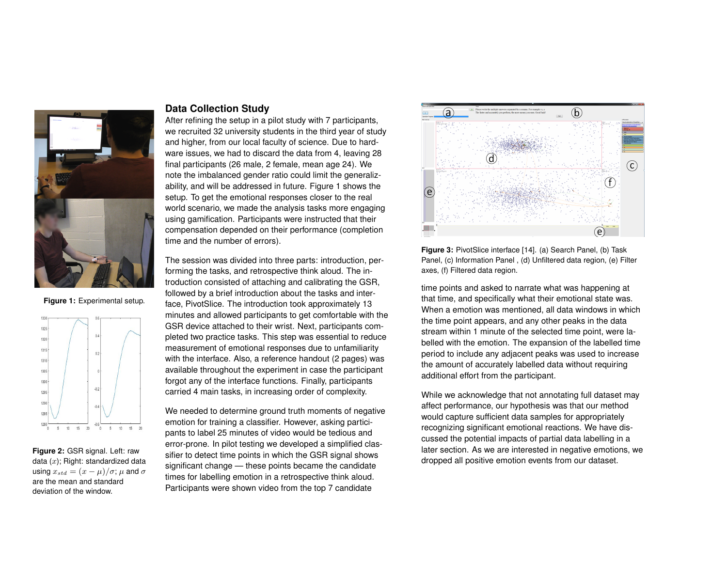

**Figure 1:** Experimental setup.



**Figure 2:** GSR signal. Left: raw data  $(x)$ ; Right: standardized data using  $x_{std} = (x - \mu)/\sigma$ ;  $\mu$  and  $\sigma$ are the mean and standard deviation of the window.

## **Data Collection Study**

After refining the setup in a pilot study with 7 participants, we recruited 32 university students in the third year of study and higher, from our local faculty of science. Due to hardware issues, we had to discard the data from 4, leaving 28 final participants (26 male, 2 female, mean age 24). We note the imbalanced gender ratio could limit the generalizability, and will be addressed in future. Figure 1 shows the setup. To get the emotional responses closer to the real world scenario, we made the analysis tasks more engaging using gamification. Participants were instructed that their compensation depended on their performance (completion time and the number of errors).

The session was divided into three parts: introduction, performing the tasks, and retrospective think aloud. The introduction consisted of attaching and calibrating the GSR, followed by a brief introduction about the tasks and interface, PivotSlice. The introduction took approximately 13 minutes and allowed participants to get comfortable with the GSR device attached to their wrist. Next, participants completed two practice tasks. This step was essential to reduce measurement of emotional responses due to unfamiliarity with the interface. Also, a reference handout (2 pages) was available throughout the experiment in case the participant forgot any of the interface functions. Finally, participants carried 4 main tasks, in increasing order of complexity.

We needed to determine ground truth moments of negative emotion for training a classifier. However, asking participants to label 25 minutes of video would be tedious and error-prone. In pilot testing we developed a simplified classifier to detect time points in which the GSR signal shows significant change — these points became the candidate times for labelling emotion in a retrospective think aloud. Participants were shown video from the top 7 candidate



**Figure 3:** PivotSlice interface [14]. (a) Search Panel, (b) Task Panel, (c) Information Panel , (d) Unfiltered data region, (e) Filter axes, (f) Filtered data region.

time points and asked to narrate what was happening at that time, and specifically what their emotional state was. When a emotion was mentioned, all data windows in which the time point appears, and any other peaks in the data stream within 1 minute of the selected time point, were labelled with the emotion. The expansion of the labelled time period to include any adjacent peaks was used to increase the amount of accurately labelled data without requiring additional effort from the participant.

While we acknowledge that not annotating full dataset may affect performance, our hypothesis was that our method would capture sufficient data samples for appropriately recognizing significant emotional reactions. We have discussed the potential impacts of partial data labelling in a later section. As we are interested in negative emotions, we dropped all positive emotion events from our dataset.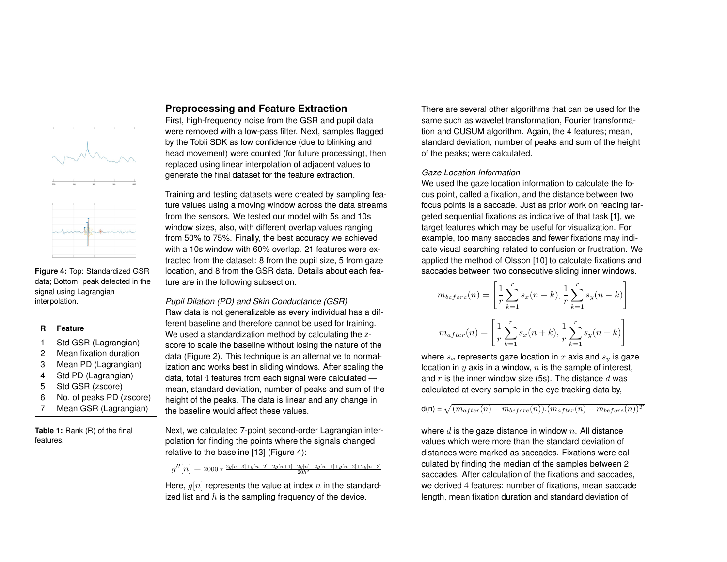

**Figure 4:** Top: Standardized GSR data; Bottom: peak detected in the signal using Lagrangian interpolation.

#### **R Feature**

- 1 Std GSR (Lagrangian)
- 2 Mean fixation duration
- 3 Mean PD (Lagrangian)
- 4 Std PD (Lagrangian)
- 5 Std GSR (zscore)
- 6 No. of peaks PD (zscore)
- 7 Mean GSR (Lagrangian)

**Table 1:** Rank (R) of the final features.

## **Preprocessing and Feature Extraction**

First, high-frequency noise from the GSR and pupil data were removed with a low-pass filter. Next, samples flagged by the Tobii SDK as low confidence (due to blinking and head movement) were counted (for future processing), then replaced using linear interpolation of adjacent values to generate the final dataset for the feature extraction.

Training and testing datasets were created by sampling feature values using a moving window across the data streams from the sensors. We tested our model with 5s and 10s window sizes, also, with different overlap values ranging from 50% to 75%. Finally, the best accuracy we achieved with a 10s window with 60% overlap. 21 features were extracted from the dataset: 8 from the pupil size, 5 from gaze location, and 8 from the GSR data. Details about each feature are in the following subsection.

*Pupil Dilation (PD) and Skin Conductance (GSR)* Raw data is not generalizable as every individual has a different baseline and therefore cannot be used for training. We used a standardization method by calculating the zscore to scale the baseline without losing the nature of the data (Figure 2). This technique is an alternative to normalization and works best in sliding windows. After scaling the data, total 4 features from each signal were calculated mean, standard deviation, number of peaks and sum of the height of the peaks. The data is linear and any change in the baseline would affect these values.

Next, we calculated 7-point second-order Lagrangian interpolation for finding the points where the signals changed relative to the baseline [13] (Figure 4):

 $g''[n] = 2000 * \frac{2g[n+3]+g[n+2]-2g[n+1]-2g[n]-2g[n-1]+g[n-2]+2g[n-3]}{20h^2}$ 

Here,  $q[n]$  represents the value at index n in the standardized list and  $h$  is the sampling frequency of the device.

There are several other algorithms that can be used for the same such as wavelet transformation, Fourier transformation and CUSUM algorithm. Again, the 4 features; mean, standard deviation, number of peaks and sum of the height of the peaks; were calculated.

#### *Gaze Location Information*

We used the gaze location information to calculate the focus point, called a fixation, and the distance between two focus points is a saccade. Just as prior work on reading targeted sequential fixations as indicative of that task [1], we target features which may be useful for visualization. For example, too many saccades and fewer fixations may indicate visual searching related to confusion or frustration. We applied the method of Olsson [10] to calculate fixations and saccades between two consecutive sliding inner windows.

$$
m_{before}(n) = \left[\frac{1}{r}\sum_{k=1}^{r} s_x(n-k), \frac{1}{r}\sum_{k=1}^{r} s_y(n-k)\right]
$$

$$
m_{after}(n) = \left[\frac{1}{r}\sum_{k=1}^{r} s_x(n+k), \frac{1}{r}\sum_{k=1}^{r} s_y(n+k)\right]
$$

where  $s_x$  represents gaze location in x axis and  $s_y$  is gaze location in  $y$  axis in a window,  $n$  is the sample of interest, and r is the inner window size (5s). The distance  $d$  was calculated at every sample in the eye tracking data by,

 ${\sf d}({\sf n})$  =  $\sqrt{(m_{after}(n) - m_{before}(n)).(m_{after}(n) - m_{before}(n))^T}$ 

where  $d$  is the gaze distance in window  $n$ . All distance values which were more than the standard deviation of distances were marked as saccades. Fixations were calculated by finding the median of the samples between 2 saccades. After calculation of the fixations and saccades, we derived 4 features: number of fixations, mean saccade length, mean fixation duration and standard deviation of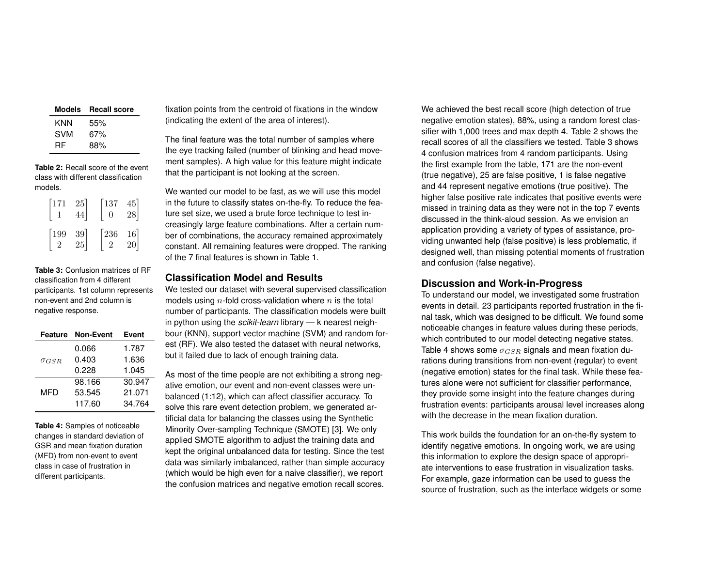| Models | <b>Recall score</b> |
|--------|---------------------|
| KNN    | 55%                 |
| SVM    | 67%                 |
| RF     | 88%                 |

**Table 2:** Recall score of the event class with different classification models.

| $\lceil 171 \rceil$ | 25                                       | $\lceil 137 \rceil$<br>$\overline{0}$ | $\begin{bmatrix} 45 \\ 28 \end{bmatrix}$ |
|---------------------|------------------------------------------|---------------------------------------|------------------------------------------|
| $\lceil 199 \rceil$ | $\begin{bmatrix} 39 \\ 25 \end{bmatrix}$ | $\sqrt{236}$<br>$\overline{2}$        | $\frac{16}{20}$                          |

**Table 3:** Confusion matrices of RF classification from 4 different participants. 1st column represents non-event and 2nd column is negative response.

|                | <b>Feature Non-Event</b> | Event  |
|----------------|--------------------------|--------|
|                | 0.066                    | 1.787  |
| $\sigma_{GSR}$ | 0.403                    | 1.636  |
|                | 0.228                    | 1.045  |
| MFD            | 98.166                   | 30.947 |
|                | 53.545                   | 21.071 |
|                | 117.60                   | 34.764 |

**Table 4:** Samples of noticeable changes in standard deviation of GSR and mean fixation duration (MFD) from non-event to event class in case of frustration in different participants.

fixation points from the centroid of fixations in the window (indicating the extent of the area of interest).

The final feature was the total number of samples where the eye tracking failed (number of blinking and head movement samples). A high value for this feature might indicate that the participant is not looking at the screen.

We wanted our model to be fast, as we will use this model in the future to classify states on-the-fly. To reduce the feature set size, we used a brute force technique to test increasingly large feature combinations. After a certain number of combinations, the accuracy remained approximately constant. All remaining features were dropped. The ranking of the 7 final features is shown in Table 1.

#### **Classification Model and Results**

We tested our dataset with several supervised classification models using  $n$ -fold cross-validation where  $n$  is the total number of participants. The classification models were built in python using the *scikit-learn* library — k nearest neighbour (KNN), support vector machine (SVM) and random forest (RF). We also tested the dataset with neural networks, but it failed due to lack of enough training data.

As most of the time people are not exhibiting a strong negative emotion, our event and non-event classes were unbalanced (1:12), which can affect classifier accuracy. To solve this rare event detection problem, we generated artificial data for balancing the classes using the Synthetic Minority Over-sampling Technique (SMOTE) [3]. We only applied SMOTE algorithm to adjust the training data and kept the original unbalanced data for testing. Since the test data was similarly imbalanced, rather than simple accuracy (which would be high even for a naive classifier), we report the confusion matrices and negative emotion recall scores.

We achieved the best recall score (high detection of true negative emotion states), 88%, using a random forest classifier with 1,000 trees and max depth 4. Table 2 shows the recall scores of all the classifiers we tested. Table 3 shows 4 confusion matrices from 4 random participants. Using the first example from the table, 171 are the non-event (true negative), 25 are false positive, 1 is false negative and 44 represent negative emotions (true positive). The higher false positive rate indicates that positive events were missed in training data as they were not in the top 7 events discussed in the think-aloud session. As we envision an application providing a variety of types of assistance, providing unwanted help (false positive) is less problematic, if designed well, than missing potential moments of frustration and confusion (false negative).

## **Discussion and Work-in-Progress**

To understand our model, we investigated some frustration events in detail. 23 participants reported frustration in the final task, which was designed to be difficult. We found some noticeable changes in feature values during these periods, which contributed to our model detecting negative states. Table 4 shows some  $\sigma_{GSR}$  signals and mean fixation durations during transitions from non-event (regular) to event (negative emotion) states for the final task. While these features alone were not sufficient for classifier performance, they provide some insight into the feature changes during frustration events: participants arousal level increases along with the decrease in the mean fixation duration.

This work builds the foundation for an on-the-fly system to identify negative emotions. In ongoing work, we are using this information to explore the design space of appropriate interventions to ease frustration in visualization tasks. For example, gaze information can be used to guess the source of frustration, such as the interface widgets or some